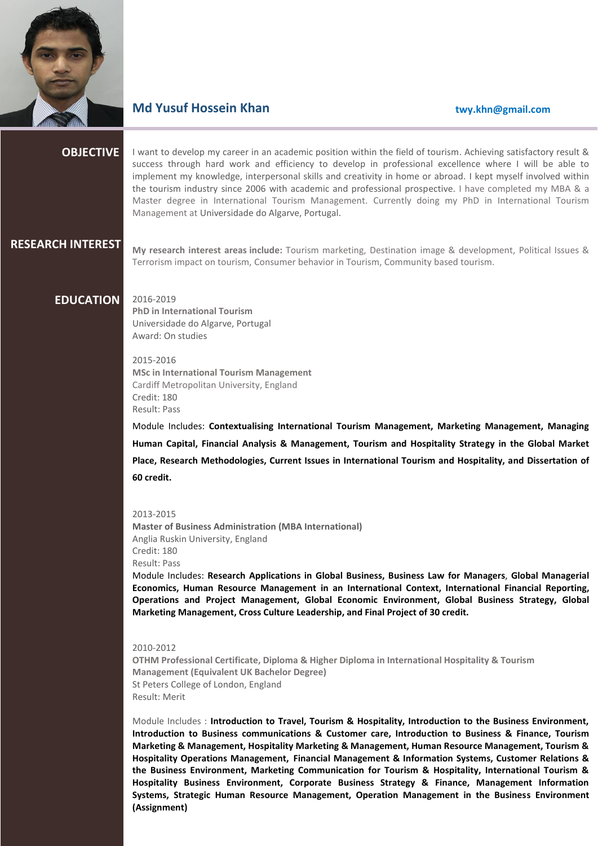

# **Md Yusuf Hossein Khan**

#### **twy.khn@gmail.com**

#### **OBJECTIVE**

I want to develop my career in an academic position within the field of tourism. Achieving satisfactory result & success through hard work and efficiency to develop in professional excellence where I will be able to implement my knowledge, interpersonal skills and creativity in home or abroad. I kept myself involved within the tourism industry since 2006 with academic and professional prospective. I have completed my MBA & a Master degree in International Tourism Management. Currently doing my PhD in International Tourism Management at Universidade do Algarve, Portugal.

## **RESEARCH INTEREST**

**My research interest areas include:** Tourism marketing, Destination image & development, Political Issues & Terrorism impact on tourism, Consumer behavior in Tourism, Community based tourism.

### **EDUCATION**

**PhD in International Tourism** Universidade do Algarve, Portugal Award: On studies

2016-2019

2015-2016 **MSc in International Tourism Management** Cardiff Metropolitan University, England Credit: 180 Result: Pass

Module Includes: **Contextualising International Tourism Management, Marketing Management, Managing Human Capital, Financial Analysis & Management, Tourism and Hospitality Strategy in the Global Market Place, Research Methodologies, Current Issues in International Tourism and Hospitality, and Dissertation of 60 credit.**

2013-2015 **Master of Business Administration (MBA International)** Anglia Ruskin University, England Credit: 180 Result: Pass

Module Includes: **Research Applications in Global Business, Business Law for Managers**, **Global Managerial Economics, Human Resource Management in an International Context, International Financial Reporting, Operations and Project Management, Global Economic Environment, Global Business Strategy, Global Marketing Management, Cross Culture Leadership, and Final Project of 30 credit.**

2010-2012

**OTHM Professional Certificate, Diploma & Higher Diploma in International Hospitality & Tourism Management (Equivalent UK Bachelor Degree)**  St Peters College of London, England Result: Merit

Module Includes : **Introduction to Travel, Tourism & Hospitality, Introduction to the Business Environment, Introduction to Business communications & Customer care, Introduction to Business & Finance, Tourism Marketing & Management, Hospitality Marketing & Management, Human Resource Management, Tourism & Hospitality Operations Management, Financial Management & Information Systems, Customer Relations & the Business Environment, Marketing Communication for Tourism & Hospitality, International Tourism & Hospitality Business Environment, Corporate Business Strategy & Finance, Management Information Systems, Strategic Human Resource Management, Operation Management in the Business Environment (Assignment)**